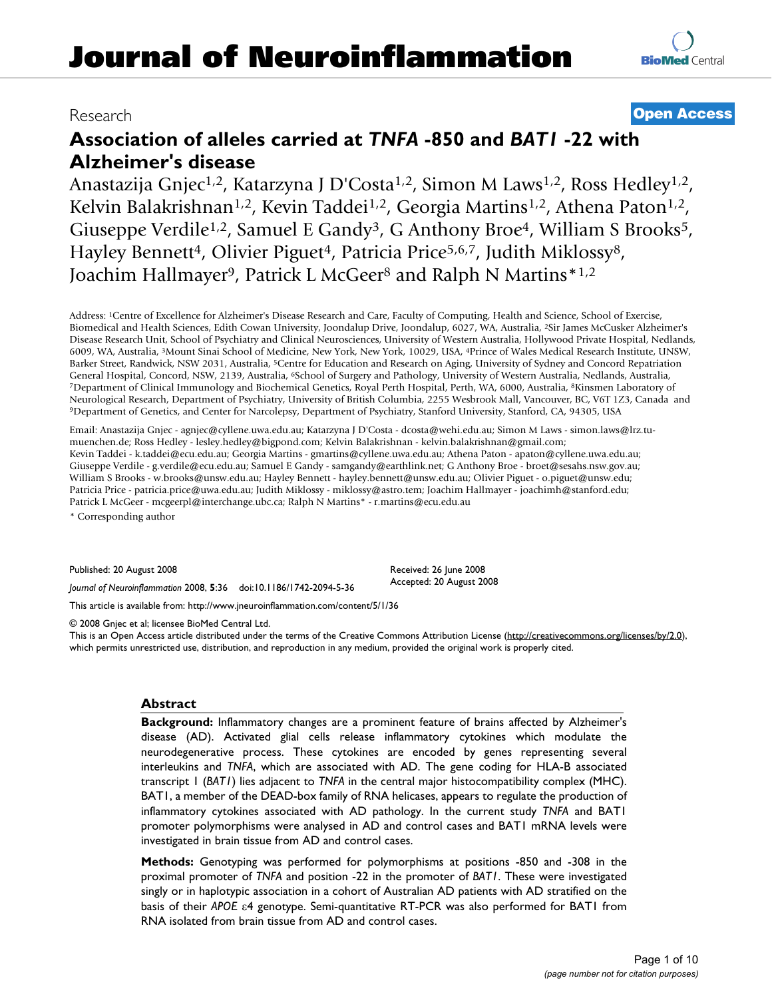# Research **[Open Access](http://www.biomedcentral.com/info/about/charter/)**

# **Association of alleles carried at** *TNFA* **-850 and** *BAT1* **-22 with Alzheimer's disease**

Anastazija Gnjec<sup>1,2</sup>, Katarzyna J D'Costa<sup>1,2</sup>, Simon M Laws<sup>1,2</sup>, Ross Hedley<sup>1,2</sup>, Kelvin Balakrishnan<sup>1,2</sup>, Kevin Taddei<sup>1,2</sup>, Georgia Martins<sup>1,2</sup>, Athena Paton<sup>1,2</sup>, Giuseppe Verdile<sup>1,2</sup>, Samuel E Gandy<sup>3</sup>, G Anthony Broe<sup>4</sup>, William S Brooks<sup>5</sup>, Hayley Bennett<sup>4</sup>, Olivier Piguet<sup>4</sup>, Patricia Price<sup>5,6,7</sup>, Judith Miklossy<sup>8</sup>, Joachim Hallmayer<sup>9</sup>, Patrick L McGeer<sup>8</sup> and Ralph N Martins<sup>\*1,2</sup>

Address: 1Centre of Excellence for Alzheimer's Disease Research and Care, Faculty of Computing, Health and Science, School of Exercise, Biomedical and Health Sciences, Edith Cowan University, Joondalup Drive, Joondalup, 6027, WA, Australia, 2Sir James McCusker Alzheimer's Disease Research Unit, School of Psychiatry and Clinical Neurosciences, University of Western Australia, Hollywood Private Hospital, Nedlands, 6009, WA, Australia, 3Mount Sinai School of Medicine, New York, New York, 10029, USA, 4Prince of Wales Medical Research Institute, UNSW, Barker Street, Randwick, NSW 2031, Australia, 5Centre for Education and Research on Aging, University of Sydney and Concord Repatriation General Hospital, Concord, NSW, 2139, Australia, <sup>6</sup>School of Surgery and Pathology, University of Western Australia, Nedlands, Australia, 17 Department of Clinical Immunology and Biochemical Genetics, Royal Perth Hospital Neurological Research, Department of Psychiatry, University of British Columbia, 2255 Wesbrook Mall, Vancouver, BC, V6T 1Z3, Canada and<br><sup>9</sup>Department of Genetics, and Center for Narcolepsy, Department of Psychiatry, Stanfo

Email: Anastazija Gnjec - agnjec@cyllene.uwa.edu.au; Katarzyna J D'Costa - dcosta@wehi.edu.au; Simon M Laws - simon.laws@lrz.tumuenchen.de; Ross Hedley - lesley.hedley@bigpond.com; Kelvin Balakrishnan - kelvin.balakrishnan@gmail.com; Kevin Taddei - k.taddei@ecu.edu.au; Georgia Martins - gmartins@cyllene.uwa.edu.au; Athena Paton - apaton@cyllene.uwa.edu.au; Giuseppe Verdile - g.verdile@ecu.edu.au; Samuel E Gandy - samgandy@earthlink.net; G Anthony Broe - broet@sesahs.nsw.gov.au; William S Brooks - w.brooks@unsw.edu.au; Hayley Bennett - hayley.bennett@unsw.edu.au; Olivier Piguet - o.piguet@unsw.edu; Patricia Price - patricia.price@uwa.edu.au; Judith Miklossy - miklossy@astro.tem; Joachim Hallmayer - joachimh@stanford.edu; Patrick L McGeer - mcgeerpl@interchange.ubc.ca; Ralph N Martins\* - r.martins@ecu.edu.au

\* Corresponding author

Published: 20 August 2008

*Journal of Neuroinflammation* 2008, **5**:36 doi:10.1186/1742-2094-5-36

[This article is available from: http://www.jneuroinflammation.com/content/5/1/36](http://www.jneuroinflammation.com/content/5/1/36)

© 2008 Gnjec et al; licensee BioMed Central Ltd.

This is an Open Access article distributed under the terms of the Creative Commons Attribution License [\(http://creativecommons.org/licenses/by/2.0\)](http://creativecommons.org/licenses/by/2.0), which permits unrestricted use, distribution, and reproduction in any medium, provided the original work is properly cited.

Received: 26 June 2008 Accepted: 20 August 2008

## **Abstract**

**Background:** Inflammatory changes are a prominent feature of brains affected by Alzheimer's disease (AD). Activated glial cells release inflammatory cytokines which modulate the neurodegenerative process. These cytokines are encoded by genes representing several interleukins and *TNFA*, which are associated with AD. The gene coding for HLA-B associated transcript 1 (*BAT1*) lies adjacent to *TNFA* in the central major histocompatibility complex (MHC). BAT1, a member of the DEAD-box family of RNA helicases, appears to regulate the production of inflammatory cytokines associated with AD pathology. In the current study *TNFA* and BAT1 promoter polymorphisms were analysed in AD and control cases and BAT1 mRNA levels were investigated in brain tissue from AD and control cases.

**Methods:** Genotyping was performed for polymorphisms at positions -850 and -308 in the proximal promoter of *TNFA* and position -22 in the promoter of *BAT1*. These were investigated singly or in haplotypic association in a cohort of Australian AD patients with AD stratified on the basis of their *APOE* ε4 genotype. Semi-quantitative RT-PCR was also performed for BAT1 from RNA isolated from brain tissue from AD and control cases.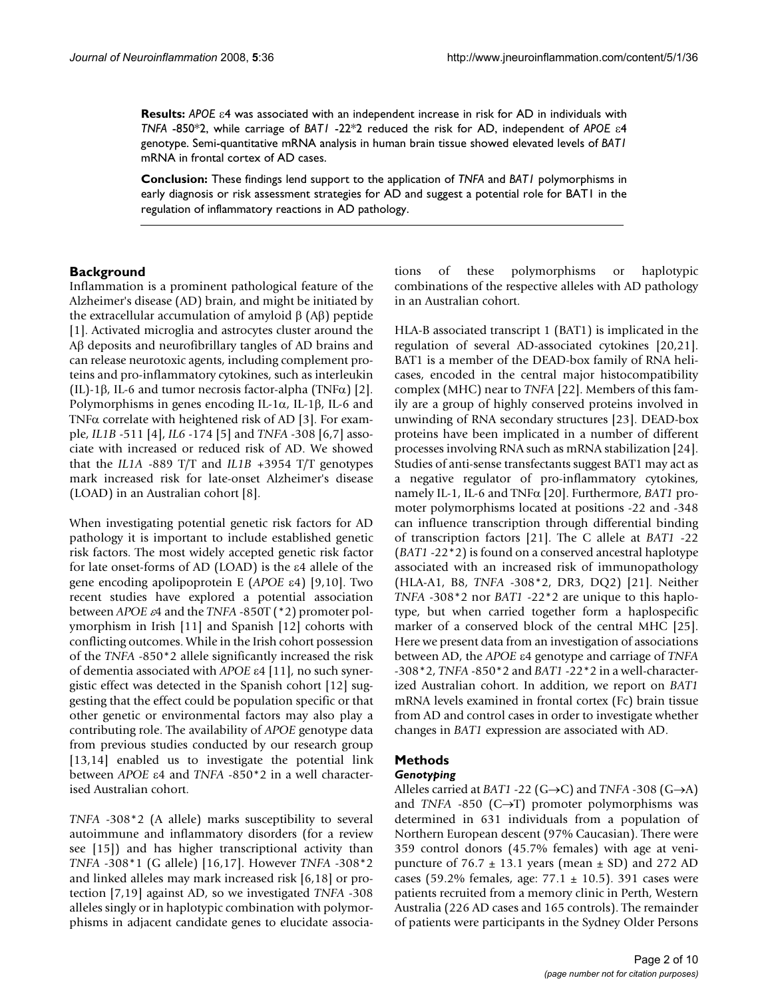**Results:** *APOE* ε4 was associated with an independent increase in risk for AD in individuals with *TNFA* -850\*2, while carriage of *BAT1* -22\*2 reduced the risk for AD, independent of *APOE* ε4 genotype. Semi-quantitative mRNA analysis in human brain tissue showed elevated levels of *BAT1* mRNA in frontal cortex of AD cases.

**Conclusion:** These findings lend support to the application of *TNFA* and *BAT1* polymorphisms in early diagnosis or risk assessment strategies for AD and suggest a potential role for BAT1 in the regulation of inflammatory reactions in AD pathology.

## **Background**

Inflammation is a prominent pathological feature of the Alzheimer's disease (AD) brain, and might be initiated by the extracellular accumulation of amyloid  $β$  (A $β$ ) peptide [1]. Activated microglia and astrocytes cluster around the Aβ deposits and neurofibrillary tangles of AD brains and can release neurotoxic agents, including complement proteins and pro-inflammatory cytokines, such as interleukin (IL)-1β, IL-6 and tumor necrosis factor-alpha (TNFα) [2]. Polymorphisms in genes encoding IL-1 $\alpha$ , IL-1 $\beta$ , IL-6 and TNFα correlate with heightened risk of AD [3]. For example, *IL1B* -511 [4], *IL6* -174 [5] and *TNFA* -308 [6,7] associate with increased or reduced risk of AD. We showed that the *IL1A* -889 T/T and *IL1B* +3954 T/T genotypes mark increased risk for late-onset Alzheimer's disease (LOAD) in an Australian cohort [8].

When investigating potential genetic risk factors for AD pathology it is important to include established genetic risk factors. The most widely accepted genetic risk factor for late onset-forms of AD (LOAD) is the ε4 allele of the gene encoding apolipoprotein E (*APOE* ε4) [9,10]. Two recent studies have explored a potential association between *APOE* ε4 and the *TNFA* -850T (\*2) promoter polymorphism in Irish [11] and Spanish [12] cohorts with conflicting outcomes. While in the Irish cohort possession of the *TNFA* -850\*2 allele significantly increased the risk of dementia associated with *APOE* ε4 [11], no such synergistic effect was detected in the Spanish cohort [12] suggesting that the effect could be population specific or that other genetic or environmental factors may also play a contributing role. The availability of *APOE* genotype data from previous studies conducted by our research group [13,14] enabled us to investigate the potential link between *APOE* ε4 and *TNFA* -850\*2 in a well characterised Australian cohort.

*TNFA* -308\*2 (A allele) marks susceptibility to several autoimmune and inflammatory disorders (for a review see [15]) and has higher transcriptional activity than *TNFA* -308\*1 (G allele) [16,17]. However *TNFA* -308\*2 and linked alleles may mark increased risk [6,18] or protection [7,19] against AD, so we investigated *TNFA* -308 alleles singly or in haplotypic combination with polymorphisms in adjacent candidate genes to elucidate associations of these polymorphisms or haplotypic combinations of the respective alleles with AD pathology in an Australian cohort.

HLA-B associated transcript 1 (BAT1) is implicated in the regulation of several AD-associated cytokines [20,21]. BAT1 is a member of the DEAD-box family of RNA helicases, encoded in the central major histocompatibility complex (MHC) near to *TNFA* [22]. Members of this family are a group of highly conserved proteins involved in unwinding of RNA secondary structures [23]. DEAD-box proteins have been implicated in a number of different processes involving RNA such as mRNA stabilization [24]. Studies of anti-sense transfectants suggest BAT1 may act as a negative regulator of pro-inflammatory cytokines, namely IL-1, IL-6 and TNFα [20]. Furthermore, *BAT1* promoter polymorphisms located at positions -22 and -348 can influence transcription through differential binding of transcription factors [21]. The C allele at *BAT1* -22 (*BAT1* -22\*2) is found on a conserved ancestral haplotype associated with an increased risk of immunopathology (HLA-A1, B8, *TNFA* -308\*2, DR3, DQ2) [21]. Neither *TNFA* -308\*2 nor *BAT1* -22\*2 are unique to this haplotype, but when carried together form a haplospecific marker of a conserved block of the central MHC [25]. Here we present data from an investigation of associations between AD, the *APOE* ε4 genotype and carriage of *TNFA* -308\*2, *TNFA* -850\*2 and *BAT1* -22\*2 in a well-characterized Australian cohort. In addition, we report on *BAT1* mRNA levels examined in frontal cortex (Fc) brain tissue from AD and control cases in order to investigate whether changes in *BAT1* expression are associated with AD.

## **Methods**

#### *Genotyping*

Alleles carried at *BAT1* -22 (G→C) and *TNFA* -308 (G→A) and *TNFA*  $-850$  (C $\rightarrow$ T) promoter polymorphisms was determined in 631 individuals from a population of Northern European descent (97% Caucasian). There were 359 control donors (45.7% females) with age at venipuncture of  $76.7 \pm 13.1$  years (mean  $\pm$  SD) and 272 AD cases (59.2% females, age:  $77.1 \pm 10.5$ ). 391 cases were patients recruited from a memory clinic in Perth, Western Australia (226 AD cases and 165 controls). The remainder of patients were participants in the Sydney Older Persons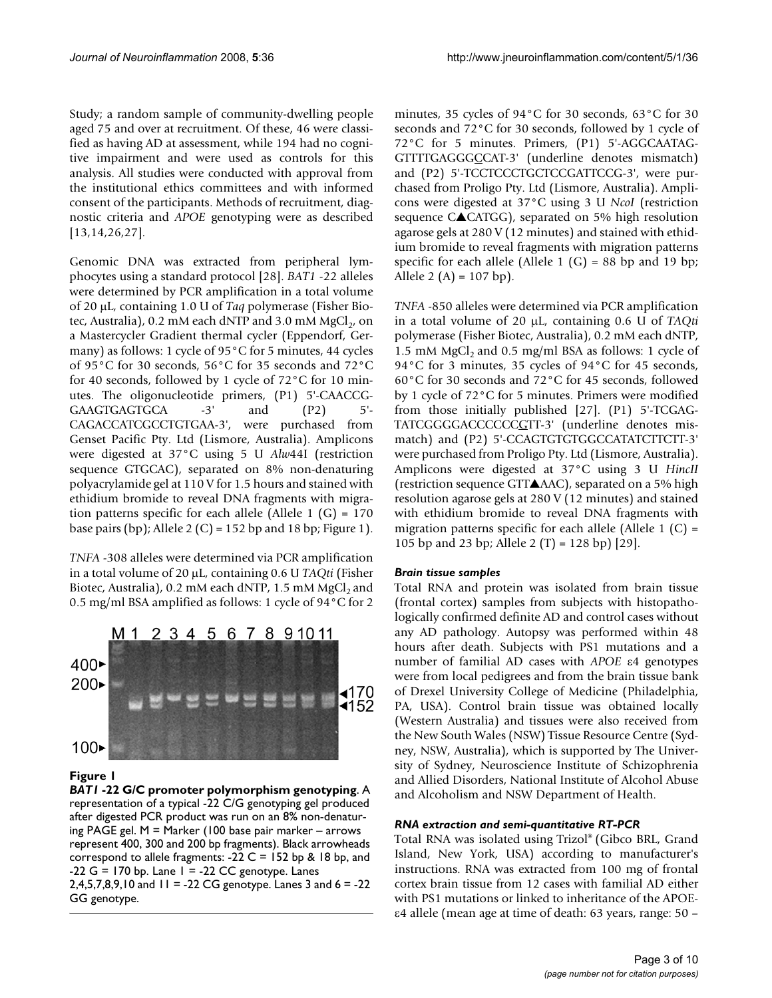Study; a random sample of community-dwelling people aged 75 and over at recruitment. Of these, 46 were classified as having AD at assessment, while 194 had no cognitive impairment and were used as controls for this analysis. All studies were conducted with approval from the institutional ethics committees and with informed consent of the participants. Methods of recruitment, diagnostic criteria and *APOE* genotyping were as described [13,14,26,27].

Genomic DNA was extracted from peripheral lymphocytes using a standard protocol [28]. *BAT1* -22 alleles were determined by PCR amplification in a total volume of 20 μL, containing 1.0 U of *Taq* polymerase (Fisher Biotec, Australia), 0.2 mM each dNTP and 3.0 mM  $MgCl<sub>2</sub>$ , on a Mastercycler Gradient thermal cycler (Eppendorf, Germany) as follows: 1 cycle of 95°C for 5 minutes, 44 cycles of 95°C for 30 seconds, 56°C for 35 seconds and 72°C for 40 seconds, followed by 1 cycle of 72°C for 10 minutes. The oligonucleotide primers, (P1) 5'-CAACCG-GAAGTGAGTGCA -3' and  $(P2)$  5'-CAGACCATCGCCTGTGAA-3', were purchased from Genset Pacific Pty. Ltd (Lismore, Australia). Amplicons were digested at 37°C using 5 U *Alw*44I (restriction sequence GTGCAC), separated on 8% non-denaturing polyacrylamide gel at 110 V for 1.5 hours and stained with ethidium bromide to reveal DNA fragments with migration patterns specific for each allele (Allele 1  $(G) = 170$ base pairs (bp); Allele 2 (C) = 152 bp and 18 bp; Figure 1).

*TNFA* -308 alleles were determined via PCR amplification in a total volume of 20 μL, containing 0.6 U *TAQti* (Fisher Biotec, Australia),  $0.2 \text{ mM}$  each dNTP,  $1.5 \text{ mM}$  MgCl<sub>2</sub> and 0.5 mg/ml BSA amplified as follows: 1 cycle of 94°C for 2



## **Figure 1**

*BAT1* **-22 G/C promoter polymorphism genotyping**. A representation of a typical -22 C/G genotyping gel produced after digested PCR product was run on an 8% non-denaturing PAGE gel. M = Marker (100 base pair marker – arrows represent 400, 300 and 200 bp fragments). Black arrowheads correspond to allele fragments:  $-22$  C = 152 bp & 18 bp, and  $-22$  G = 170 bp. Lane 1 =  $-22$  CC genotype. Lanes 2,4,5,7,8,9,10 and  $11 = -22$  CG genotype. Lanes 3 and  $6 = -22$ GG genotype.

minutes, 35 cycles of 94°C for 30 seconds, 63°C for 30 seconds and 72°C for 30 seconds, followed by 1 cycle of 72°C for 5 minutes. Primers, (P1) 5'-AGGCAATAG-GTTTTGAGGGCCAT-3' (underline denotes mismatch) and (P2) 5'-TCCTCCCTGCTCCGATTCCG-3', were purchased from Proligo Pty. Ltd (Lismore, Australia). Amplicons were digested at 37°C using 3 U *NcoI* (restriction sequence C▲CATGG), separated on 5% high resolution agarose gels at 280 V (12 minutes) and stained with ethidium bromide to reveal fragments with migration patterns specific for each allele (Allele 1  $(G)$  = 88 bp and 19 bp; Allele 2 (A) =  $107$  bp).

*TNFA* -850 alleles were determined via PCR amplification in a total volume of 20 μL, containing 0.6 U of *TAQti* polymerase (Fisher Biotec, Australia), 0.2 mM each dNTP, 1.5 mM MgCl<sub>2</sub> and 0.5 mg/ml BSA as follows: 1 cycle of 94°C for 3 minutes, 35 cycles of 94°C for 45 seconds, 60°C for 30 seconds and 72°C for 45 seconds, followed by 1 cycle of 72°C for 5 minutes. Primers were modified from those initially published [27]. (P1) 5'-TCGAG-TATCGGGGACCCCCCGTT-3' (underline denotes mismatch) and (P2) 5'-CCAGTGTGTGGCCATATCTTCTT-3' were purchased from Proligo Pty. Ltd (Lismore, Australia). Amplicons were digested at 37°C using 3 U *HincII* (restriction sequence GTT▲AAC), separated on a 5% high resolution agarose gels at 280 V (12 minutes) and stained with ethidium bromide to reveal DNA fragments with migration patterns specific for each allele (Allele 1  $(C)$  = 105 bp and 23 bp; Allele 2 (T) = 128 bp) [29].

#### *Brain tissue samples*

Total RNA and protein was isolated from brain tissue (frontal cortex) samples from subjects with histopathologically confirmed definite AD and control cases without any AD pathology. Autopsy was performed within 48 hours after death. Subjects with PS1 mutations and a number of familial AD cases with *APOE* ε4 genotypes were from local pedigrees and from the brain tissue bank of Drexel University College of Medicine (Philadelphia, PA, USA). Control brain tissue was obtained locally (Western Australia) and tissues were also received from the New South Wales (NSW) Tissue Resource Centre (Sydney, NSW, Australia), which is supported by The University of Sydney, Neuroscience Institute of Schizophrenia and Allied Disorders, National Institute of Alcohol Abuse and Alcoholism and NSW Department of Health.

#### *RNA extraction and semi-quantitative RT-PCR*

Total RNA was isolated using Trizol® (Gibco BRL, Grand Island, New York, USA) according to manufacturer's instructions. RNA was extracted from 100 mg of frontal cortex brain tissue from 12 cases with familial AD either with PS1 mutations or linked to inheritance of the APOEε4 allele (mean age at time of death: 63 years, range: 50 –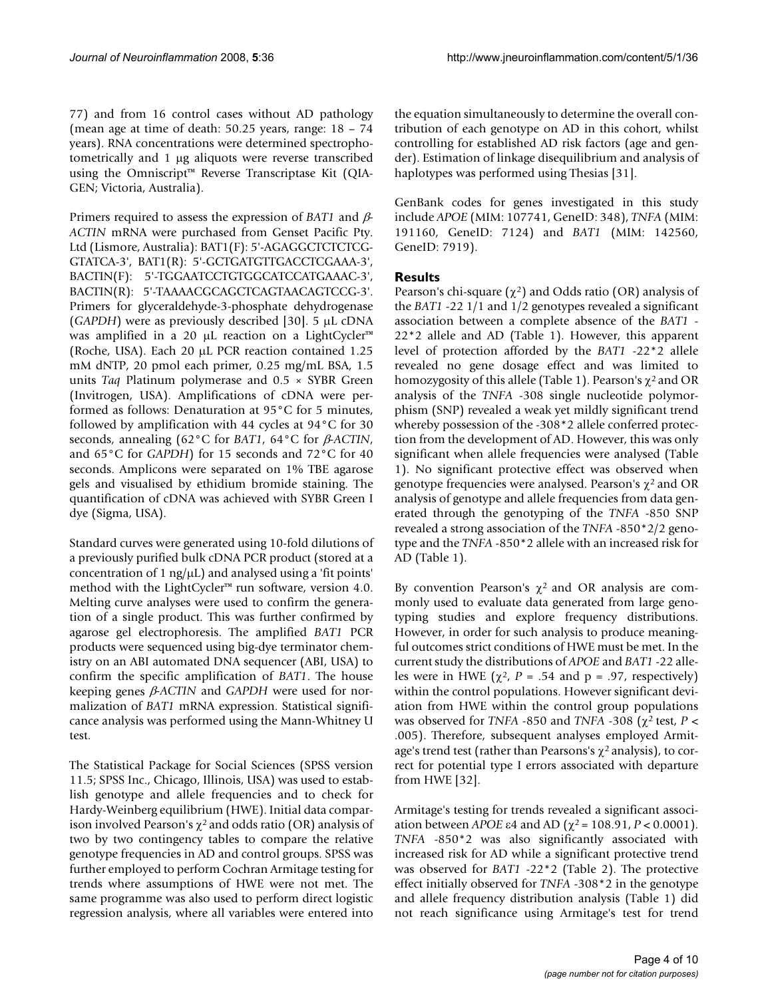77) and from 16 control cases without AD pathology (mean age at time of death: 50.25 years, range: 18 – 74 years). RNA concentrations were determined spectrophotometrically and 1 μg aliquots were reverse transcribed using the Omniscript™ Reverse Transcriptase Kit (QIA-GEN; Victoria, Australia).

Primers required to assess the expression of *BAT1* and β*-ACTIN* mRNA were purchased from Genset Pacific Pty. Ltd (Lismore, Australia): BAT1(F): 5'-AGAGGCTCTCTCG-GTATCA-3', BAT1(R): 5'-GCTGATGTTGACCTCGAAA-3', BACTIN(F): 5'-TGGAATCCTGTGGCATCCATGAAAC-3', BACTIN(R): 5'-TAAAACGCAGCTCAGTAACAGTCCG-3'. Primers for glyceraldehyde-3-phosphate dehydrogenase (*GAPDH*) were as previously described [30]. 5 μL cDNA was amplified in a 20 μL reaction on a LightCycler™ (Roche, USA). Each 20 μL PCR reaction contained 1.25 mM dNTP, 20 pmol each primer, 0.25 mg/mL BSA, 1.5 units *Taq* Platinum polymerase and 0.5 × SYBR Green (Invitrogen, USA). Amplifications of cDNA were performed as follows: Denaturation at 95°C for 5 minutes, followed by amplification with 44 cycles at 94°C for 30 seconds, annealing (62°C for *BAT1*, 64°C for β*-ACTIN*, and 65°C for *GAPDH*) for 15 seconds and 72°C for 40 seconds. Amplicons were separated on 1% TBE agarose gels and visualised by ethidium bromide staining. The quantification of cDNA was achieved with SYBR Green I dye (Sigma, USA).

Standard curves were generated using 10-fold dilutions of a previously purified bulk cDNA PCR product (stored at a concentration of 1 ng/ $\mu$ L) and analysed using a 'fit points' method with the LightCycler™ run software, version 4.0. Melting curve analyses were used to confirm the generation of a single product. This was further confirmed by agarose gel electrophoresis. The amplified *BAT1* PCR products were sequenced using big-dye terminator chemistry on an ABI automated DNA sequencer (ABI, USA) to confirm the specific amplification of *BAT1*. The house keeping genes β*-ACTIN* and *GAPDH* were used for normalization of *BAT1* mRNA expression. Statistical significance analysis was performed using the Mann-Whitney U test.

The Statistical Package for Social Sciences (SPSS version 11.5; SPSS Inc., Chicago, Illinois, USA) was used to establish genotype and allele frequencies and to check for Hardy-Weinberg equilibrium (HWE). Initial data comparison involved Pearson's  $\chi^2$  and odds ratio (OR) analysis of two by two contingency tables to compare the relative genotype frequencies in AD and control groups. SPSS was further employed to perform Cochran Armitage testing for trends where assumptions of HWE were not met. The same programme was also used to perform direct logistic regression analysis, where all variables were entered into

the equation simultaneously to determine the overall contribution of each genotype on AD in this cohort, whilst controlling for established AD risk factors (age and gender). Estimation of linkage disequilibrium and analysis of haplotypes was performed using Thesias [31].

GenBank codes for genes investigated in this study include *APOE* (MIM: 107741, GeneID: 348), *TNFA* (MIM: 191160, GeneID: 7124) and *BAT1* (MIM: 142560, GeneID: 7919).

# **Results**

Pearson's chi-square  $(\chi^2)$  and Odds ratio (OR) analysis of the *BAT1* -22 1/1 and 1/2 genotypes revealed a significant association between a complete absence of the *BAT1* - 22\*2 allele and AD (Table 1). However, this apparent level of protection afforded by the *BAT1* -22\*2 allele revealed no gene dosage effect and was limited to homozygosity of this allele (Table 1). Pearson's  $\chi^2$  and OR analysis of the *TNFA* -308 single nucleotide polymorphism (SNP) revealed a weak yet mildly significant trend whereby possession of the -308\*2 allele conferred protection from the development of AD. However, this was only significant when allele frequencies were analysed (Table 1). No significant protective effect was observed when genotype frequencies were analysed. Pearson's  $\chi^2$  and OR analysis of genotype and allele frequencies from data generated through the genotyping of the *TNFA* -850 SNP revealed a strong association of the *TNFA* -850\*2/2 genotype and the *TNFA* -850\*2 allele with an increased risk for AD (Table 1).

By convention Pearson's  $χ²$  and OR analysis are commonly used to evaluate data generated from large genotyping studies and explore frequency distributions. However, in order for such analysis to produce meaningful outcomes strict conditions of HWE must be met. In the current study the distributions of *APOE* and *BAT1* -22 alleles were in HWE ( $\chi^2$ , P = .54 and p = .97, respectively) within the control populations. However significant deviation from HWE within the control group populations was observed for *TNFA* -850 and *TNFA* -308 (χ2 test, *P* < .005). Therefore, subsequent analyses employed Armitage's trend test (rather than Pearsons's  $\chi^2$  analysis), to correct for potential type I errors associated with departure from HWE [32].

Armitage's testing for trends revealed a significant association between *APOE* ε4 and AD ( $\chi^2$  = 108.91, *P* < 0.0001). *TNFA* -850\*2 was also significantly associated with increased risk for AD while a significant protective trend was observed for *BAT1* -22\*2 (Table 2). The protective effect initially observed for *TNFA* -308\*2 in the genotype and allele frequency distribution analysis (Table 1) did not reach significance using Armitage's test for trend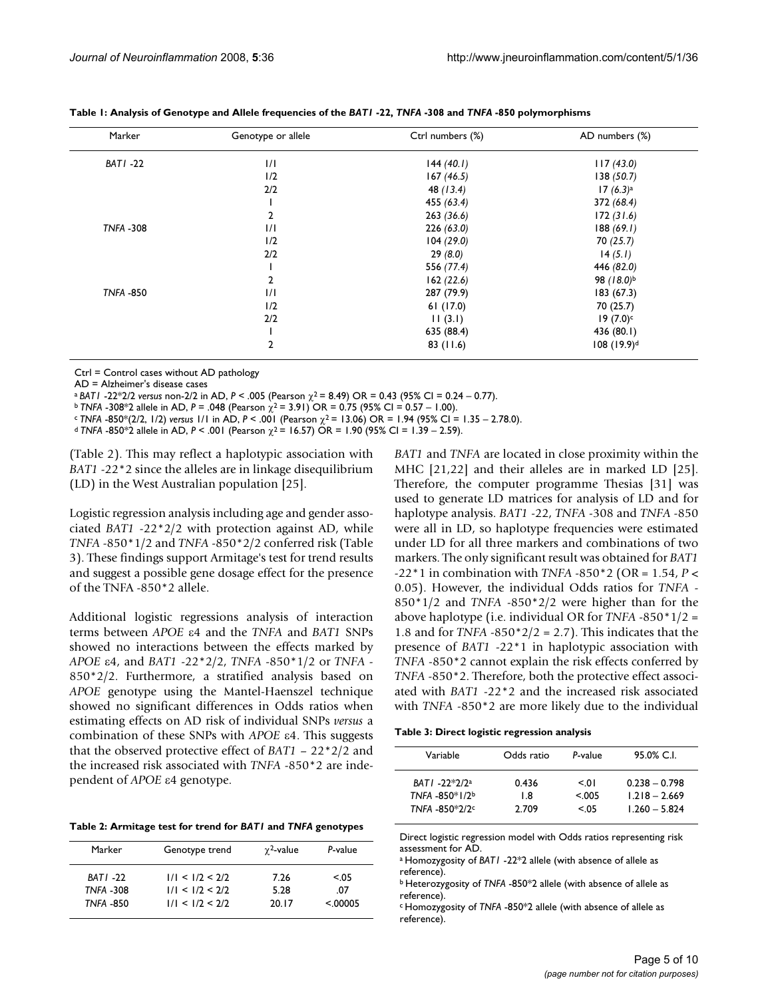| Marker           | Genotype or allele | Ctrl numbers (%) | AD numbers (%)         |
|------------------|--------------------|------------------|------------------------|
| <b>BATI-22</b>   | 1/1                | 144(40.1)        | 117(43.0)              |
|                  | 1/2                | 167(46.5)        | 138(50.7)              |
|                  | 2/2                | 48 (13.4)        | $17(6.3)$ <sup>a</sup> |
|                  |                    | 455 (63.4)       | 372 (68.4)             |
|                  | 2                  | 263(36.6)        | 172(31.6)              |
| <b>TNFA -308</b> | 1/1                | 226(63.0)        | 188(69.1)              |
|                  | 1/2                | 104(29.0)        | 70(25.7)               |
|                  | 2/2                | 29(8.0)          | 14(5.1)                |
|                  |                    | 556 (77.4)       | 446 (82.0)             |
|                  | 2                  | 162(22.6)        | 98 (18.0)b             |
| <b>TNFA -850</b> | 1/1                | 287 (79.9)       | 183(67.3)              |
|                  | 1/2                | 61(17.0)         | 70 (25.7)              |
|                  | 2/2                | 11(3.1)          | $19(7.0)$ c            |
|                  |                    | 635 (88.4)       | 436 (80.1)             |
|                  | $\overline{2}$     | 83(11.6)         | $108 (19.9)^d$         |

**Table 1: Analysis of Genotype and Allele frequencies of the** *BAT1* **-22,** *TNFA* **-308 and** *TNFA* **-850 polymorphisms**

Ctrl = Control cases without AD pathology

AD = Alzheimer's disease cases

<sup>a</sup>*BAT1* -22\*2/2 *versus* non-2/2 in AD, *P* < .005 (Pearson χ2 = 8.49) OR = 0.43 (95% CI = 0.24 – 0.77).

 $b$  *TNFA* -308<sup>\*</sup>2 allele in AD, *P* = .048 (Pearson  $\chi^2$  = 3.91) OR = 0.75 (95% CI = 0.57 – 1.00).

 $c$  *TNFA -850\*(2/2, 1/2) versus 1/1 in AD, P < .001 (Pearson*  $\chi^2$  *= 13.06) OR = 1.94 (95% CI = 1.35 – 2.78.0).* 

<sup>d</sup>*TNFA* -850\*2 allele in AD, *P* < .001 (Pearson χ2 = 16.57) OR = 1.90 (95% CI = 1.39 – 2.59).

(Table 2). This may reflect a haplotypic association with *BAT1* -22\*2 since the alleles are in linkage disequilibrium (LD) in the West Australian population [25].

Logistic regression analysis including age and gender associated *BAT1* -22\*2/2 with protection against AD, while *TNFA* -850\*1/2 and *TNFA* -850\*2/2 conferred risk (Table 3). These findings support Armitage's test for trend results and suggest a possible gene dosage effect for the presence of the TNFA -850\*2 allele.

Additional logistic regressions analysis of interaction terms between *APOE* ε4 and the *TNFA* and *BAT1* SNPs showed no interactions between the effects marked by *APOE* ε4, and *BAT1* -22\*2/2, *TNFA* -850\*1/2 or *TNFA* - 850\*2/2. Furthermore, a stratified analysis based on *APOE* genotype using the Mantel-Haenszel technique showed no significant differences in Odds ratios when estimating effects on AD risk of individual SNPs *versus* a combination of these SNPs with *APOE* ε4. This suggests that the observed protective effect of *BAT1* – 22\*2/2 and the increased risk associated with *TNFA* -850\*2 are independent of *APOE* ε4 genotype.

| Table 2: Armitage test for trend for BATI and TNFA genotypes |  |  |
|--------------------------------------------------------------|--|--|
|--------------------------------------------------------------|--|--|

| Marker                      | Genotype trend                     | $\gamma^2$ -value | P-value       |
|-----------------------------|------------------------------------|-------------------|---------------|
| BATI-22<br><b>TNFA -308</b> | 1/1 < 1/2 < 2/2<br>1/1 < 1/2 < 2/2 | 7.26<br>5.28      | < 0.05<br>.07 |
| <b>TNFA -850</b>            | 1/1 < 1/2 < 2/2                    | 20.17             | < 00005       |

*BAT1* and *TNFA* are located in close proximity within the MHC [21,22] and their alleles are in marked LD [25]. Therefore, the computer programme Thesias [31] was used to generate LD matrices for analysis of LD and for haplotype analysis. *BAT1* -22, *TNFA* -308 and *TNFA* -850 were all in LD, so haplotype frequencies were estimated under LD for all three markers and combinations of two markers. The only significant result was obtained for *BAT1* -22\*1 in combination with *TNFA* -850\*2 (OR = 1.54, *P* < 0.05). However, the individual Odds ratios for *TNFA* - 850\*1/2 and *TNFA* -850\*2/2 were higher than for the above haplotype (i.e. individual OR for *TNFA* -850\*1/2 = 1.8 and for *TNFA* -850\*2/2 = 2.7). This indicates that the presence of *BAT1* -22\*1 in haplotypic association with *TNFA* -850\*2 cannot explain the risk effects conferred by *TNFA* -850\*2. Therefore, both the protective effect associated with *BAT1* -22\*2 and the increased risk associated with *TNFA* -850\*2 are more likely due to the individual

| Table 3: Direct logistic regression analysis |  |  |  |  |  |
|----------------------------------------------|--|--|--|--|--|
|----------------------------------------------|--|--|--|--|--|

| Variable                                          | Odds ratio            | P-value                     | 95.0% C.I.                                            |
|---------------------------------------------------|-----------------------|-----------------------------|-------------------------------------------------------|
| BATI -22*2/2ª<br>TNFA -850*1/2b<br>TNFA -850*2/2c | 0.436<br>1.8<br>2.709 | $\leq 01$<br>< 005<br>< 0.5 | $0.238 - 0.798$<br>$1.218 - 2.669$<br>$1.260 - 5.824$ |

Direct logistic regression model with Odds ratios representing risk assessment for AD.

a Homozygosity of *BAT1* -22\*2 allele (with absence of allele as reference).

b Heterozygosity of *TNFA* -850\*2 allele (with absence of allele as reference).

c Homozygosity of *TNFA* -850\*2 allele (with absence of allele as reference).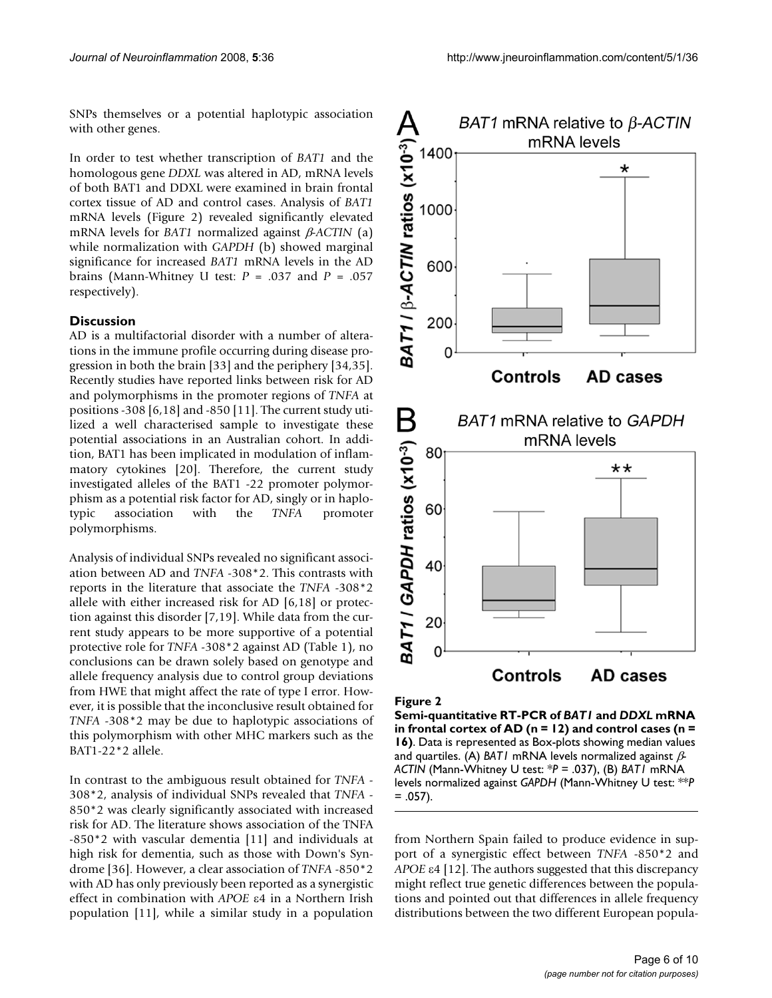SNPs themselves or a potential haplotypic association with other genes.

In order to test whether transcription of *BAT1* and the homologous gene *DDXL* was altered in AD, mRNA levels of both BAT1 and DDXL were examined in brain frontal cortex tissue of AD and control cases. Analysis of *BAT1* mRNA levels (Figure 2) revealed significantly elevated mRNA levels for *BAT1* normalized against β*-ACTIN* (a) while normalization with *GAPDH* (b) showed marginal significance for increased *BAT1* mRNA levels in the AD brains (Mann-Whitney U test: *P* = .037 and *P* = .057 respectively).

### **Discussion**

AD is a multifactorial disorder with a number of alterations in the immune profile occurring during disease progression in both the brain [33] and the periphery [34,35]. Recently studies have reported links between risk for AD and polymorphisms in the promoter regions of *TNFA* at positions -308 [6,18] and -850 [11]. The current study utilized a well characterised sample to investigate these potential associations in an Australian cohort. In addition, BAT1 has been implicated in modulation of inflammatory cytokines [20]. Therefore, the current study investigated alleles of the BAT1 -22 promoter polymorphism as a potential risk factor for AD, singly or in haplotypic association with the *TNFA* promoter polymorphisms.

Analysis of individual SNPs revealed no significant association between AD and *TNFA* -308\*2. This contrasts with reports in the literature that associate the *TNFA* -308\*2 allele with either increased risk for AD [6,18] or protection against this disorder [7,19]. While data from the current study appears to be more supportive of a potential protective role for *TNFA* -308\*2 against AD (Table 1), no conclusions can be drawn solely based on genotype and allele frequency analysis due to control group deviations from HWE that might affect the rate of type I error. However, it is possible that the inconclusive result obtained for *TNFA* -308\*2 may be due to haplotypic associations of this polymorphism with other MHC markers such as the BAT1-22\*2 allele.

In contrast to the ambiguous result obtained for *TNFA* - 308\*2, analysis of individual SNPs revealed that *TNFA* - 850\*2 was clearly significantly associated with increased risk for AD. The literature shows association of the TNFA -850\*2 with vascular dementia [11] and individuals at high risk for dementia, such as those with Down's Syndrome [36]. However, a clear association of *TNFA* -850\*2 with AD has only previously been reported as a synergistic effect in combination with *APOE* ε4 in a Northern Irish population [11], while a similar study in a population



Figure 2

**Semi-quantitative RT-PCR of** *BAT1* **and** *DDXL* **mRNA in frontal cortex of AD (n = 12) and control cases (n = 16)**. Data is represented as Box-plots showing median values and quartiles. (A) *BAT1* mRNA levels normalized against β*-ACTIN* (Mann-Whitney U test: \**P* = .037), (B) *BAT1* mRNA levels normalized against *GAPDH* (Mann-Whitney U test: \*\**P*   $= .057$ ).

from Northern Spain failed to produce evidence in support of a synergistic effect between *TNFA* -850\*2 and *APOE* ε4 [12]. The authors suggested that this discrepancy might reflect true genetic differences between the populations and pointed out that differences in allele frequency distributions between the two different European popula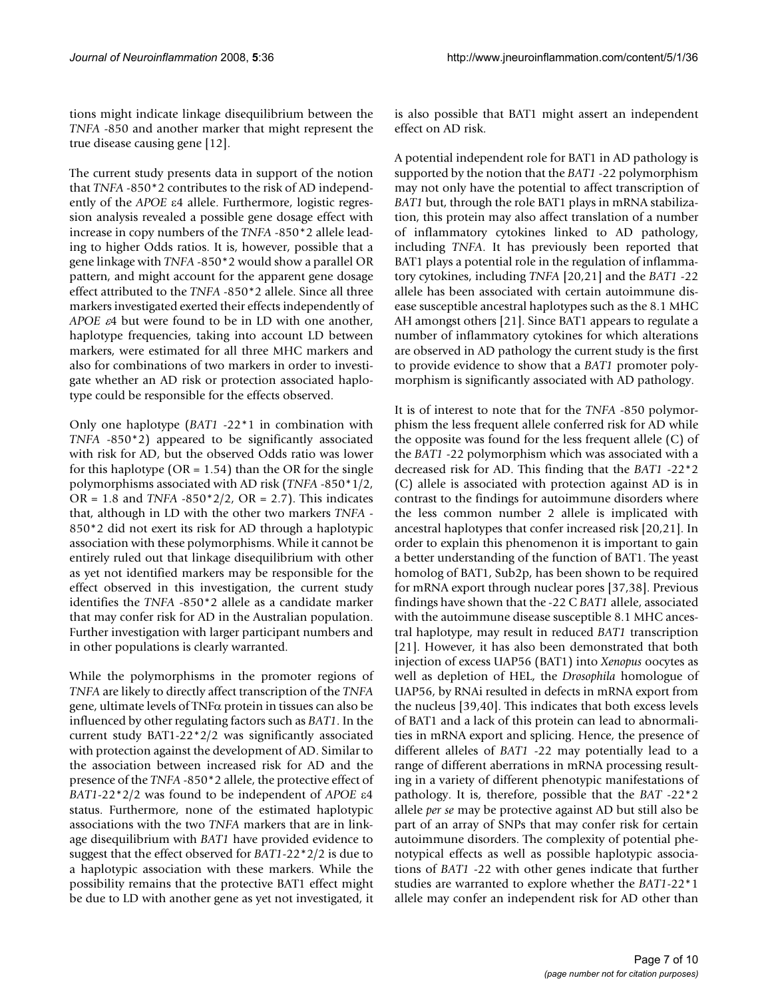tions might indicate linkage disequilibrium between the *TNFA* -850 and another marker that might represent the true disease causing gene [12].

The current study presents data in support of the notion that *TNFA* -850\*2 contributes to the risk of AD independently of the *APOE* ε4 allele. Furthermore, logistic regression analysis revealed a possible gene dosage effect with increase in copy numbers of the *TNFA* -850\*2 allele leading to higher Odds ratios. It is, however, possible that a gene linkage with *TNFA* -850\*2 would show a parallel OR pattern, and might account for the apparent gene dosage effect attributed to the *TNFA* -850\*2 allele. Since all three markers investigated exerted their effects independently of *APOE* ε4 but were found to be in LD with one another, haplotype frequencies, taking into account LD between markers, were estimated for all three MHC markers and also for combinations of two markers in order to investigate whether an AD risk or protection associated haplotype could be responsible for the effects observed.

Only one haplotype (*BAT1* -22\*1 in combination with *TNFA* -850\*2) appeared to be significantly associated with risk for AD, but the observed Odds ratio was lower for this haplotype ( $OR = 1.54$ ) than the OR for the single polymorphisms associated with AD risk (*TNFA* -850\*1/2, OR = 1.8 and *TNFA* -850\*2/2, OR = 2.7). This indicates that, although in LD with the other two markers *TNFA* - 850\*2 did not exert its risk for AD through a haplotypic association with these polymorphisms. While it cannot be entirely ruled out that linkage disequilibrium with other as yet not identified markers may be responsible for the effect observed in this investigation, the current study identifies the *TNFA* -850\*2 allele as a candidate marker that may confer risk for AD in the Australian population. Further investigation with larger participant numbers and in other populations is clearly warranted.

While the polymorphisms in the promoter regions of *TNFA* are likely to directly affect transcription of the *TNFA* gene, ultimate levels of TNFα protein in tissues can also be influenced by other regulating factors such as *BAT1*. In the current study BAT1-22\*2/2 was significantly associated with protection against the development of AD. Similar to the association between increased risk for AD and the presence of the *TNFA* -850\*2 allele, the protective effect of *BAT1*-22\*2/2 was found to be independent of *APOE* ε4 status. Furthermore, none of the estimated haplotypic associations with the two *TNFA* markers that are in linkage disequilibrium with *BAT1* have provided evidence to suggest that the effect observed for *BAT1*-22\*2/2 is due to a haplotypic association with these markers. While the possibility remains that the protective BAT1 effect might be due to LD with another gene as yet not investigated, it is also possible that BAT1 might assert an independent effect on AD risk.

A potential independent role for BAT1 in AD pathology is supported by the notion that the *BAT1* -22 polymorphism may not only have the potential to affect transcription of *BAT1* but, through the role BAT1 plays in mRNA stabilization, this protein may also affect translation of a number of inflammatory cytokines linked to AD pathology, including *TNFA*. It has previously been reported that BAT1 plays a potential role in the regulation of inflammatory cytokines, including *TNFA* [20,21] and the *BAT1* -22 allele has been associated with certain autoimmune disease susceptible ancestral haplotypes such as the 8.1 MHC AH amongst others [21]. Since BAT1 appears to regulate a number of inflammatory cytokines for which alterations are observed in AD pathology the current study is the first to provide evidence to show that a *BAT1* promoter polymorphism is significantly associated with AD pathology.

It is of interest to note that for the *TNFA* -850 polymorphism the less frequent allele conferred risk for AD while the opposite was found for the less frequent allele (C) of the *BAT1* -22 polymorphism which was associated with a decreased risk for AD. This finding that the *BAT1* -22\*2 (C) allele is associated with protection against AD is in contrast to the findings for autoimmune disorders where the less common number 2 allele is implicated with ancestral haplotypes that confer increased risk [20,21]. In order to explain this phenomenon it is important to gain a better understanding of the function of BAT1. The yeast homolog of BAT1, Sub2p, has been shown to be required for mRNA export through nuclear pores [37,38]. Previous findings have shown that the -22 C *BAT1* allele, associated with the autoimmune disease susceptible 8.1 MHC ancestral haplotype, may result in reduced *BAT1* transcription [21]. However, it has also been demonstrated that both injection of excess UAP56 (BAT1) into *Xenopus* oocytes as well as depletion of HEL, the *Drosophila* homologue of UAP56, by RNAi resulted in defects in mRNA export from the nucleus [39,40]. This indicates that both excess levels of BAT1 and a lack of this protein can lead to abnormalities in mRNA export and splicing. Hence, the presence of different alleles of *BAT1* -22 may potentially lead to a range of different aberrations in mRNA processing resulting in a variety of different phenotypic manifestations of pathology. It is, therefore, possible that the *BAT* -22\*2 allele *per se* may be protective against AD but still also be part of an array of SNPs that may confer risk for certain autoimmune disorders. The complexity of potential phenotypical effects as well as possible haplotypic associations of *BAT1* -22 with other genes indicate that further studies are warranted to explore whether the *BAT1*-22\*1 allele may confer an independent risk for AD other than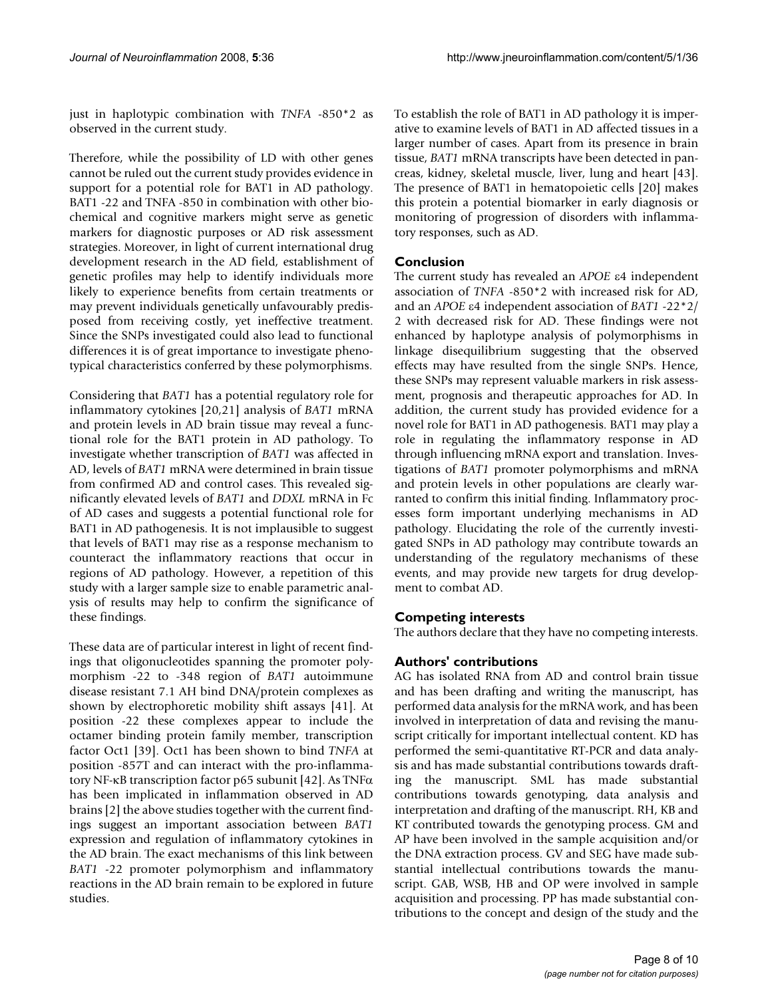just in haplotypic combination with *TNFA* -850\*2 as observed in the current study.

Therefore, while the possibility of LD with other genes cannot be ruled out the current study provides evidence in support for a potential role for BAT1 in AD pathology. BAT1 -22 and TNFA -850 in combination with other biochemical and cognitive markers might serve as genetic markers for diagnostic purposes or AD risk assessment strategies. Moreover, in light of current international drug development research in the AD field, establishment of genetic profiles may help to identify individuals more likely to experience benefits from certain treatments or may prevent individuals genetically unfavourably predisposed from receiving costly, yet ineffective treatment. Since the SNPs investigated could also lead to functional differences it is of great importance to investigate phenotypical characteristics conferred by these polymorphisms.

Considering that *BAT1* has a potential regulatory role for inflammatory cytokines [20,21] analysis of *BAT1* mRNA and protein levels in AD brain tissue may reveal a functional role for the BAT1 protein in AD pathology. To investigate whether transcription of *BAT1* was affected in AD, levels of *BAT1* mRNA were determined in brain tissue from confirmed AD and control cases. This revealed significantly elevated levels of *BAT1* and *DDXL* mRNA in Fc of AD cases and suggests a potential functional role for BAT1 in AD pathogenesis. It is not implausible to suggest that levels of BAT1 may rise as a response mechanism to counteract the inflammatory reactions that occur in regions of AD pathology. However, a repetition of this study with a larger sample size to enable parametric analysis of results may help to confirm the significance of these findings.

These data are of particular interest in light of recent findings that oligonucleotides spanning the promoter polymorphism -22 to -348 region of *BAT1* autoimmune disease resistant 7.1 AH bind DNA/protein complexes as shown by electrophoretic mobility shift assays [41]. At position -22 these complexes appear to include the octamer binding protein family member, transcription factor Oct1 [39]. Oct1 has been shown to bind *TNFA* at position -857T and can interact with the pro-inflammatory NF-κB transcription factor p65 subunit [42]. As TNFα has been implicated in inflammation observed in AD brains [2] the above studies together with the current findings suggest an important association between *BAT1* expression and regulation of inflammatory cytokines in the AD brain. The exact mechanisms of this link between *BAT1* -22 promoter polymorphism and inflammatory reactions in the AD brain remain to be explored in future studies.

To establish the role of BAT1 in AD pathology it is imperative to examine levels of BAT1 in AD affected tissues in a larger number of cases. Apart from its presence in brain tissue, *BAT1* mRNA transcripts have been detected in pancreas, kidney, skeletal muscle, liver, lung and heart [43]. The presence of BAT1 in hematopoietic cells [20] makes this protein a potential biomarker in early diagnosis or monitoring of progression of disorders with inflammatory responses, such as AD.

# **Conclusion**

The current study has revealed an *APOE* ε4 independent association of *TNFA* -850\*2 with increased risk for AD, and an *APOE* ε4 independent association of *BAT1* -22\*2/ 2 with decreased risk for AD. These findings were not enhanced by haplotype analysis of polymorphisms in linkage disequilibrium suggesting that the observed effects may have resulted from the single SNPs. Hence, these SNPs may represent valuable markers in risk assessment, prognosis and therapeutic approaches for AD. In addition, the current study has provided evidence for a novel role for BAT1 in AD pathogenesis. BAT1 may play a role in regulating the inflammatory response in AD through influencing mRNA export and translation. Investigations of *BAT1* promoter polymorphisms and mRNA and protein levels in other populations are clearly warranted to confirm this initial finding. Inflammatory processes form important underlying mechanisms in AD pathology. Elucidating the role of the currently investigated SNPs in AD pathology may contribute towards an understanding of the regulatory mechanisms of these events, and may provide new targets for drug development to combat AD.

# **Competing interests**

The authors declare that they have no competing interests.

# **Authors' contributions**

AG has isolated RNA from AD and control brain tissue and has been drafting and writing the manuscript, has performed data analysis for the mRNA work, and has been involved in interpretation of data and revising the manuscript critically for important intellectual content. KD has performed the semi-quantitative RT-PCR and data analysis and has made substantial contributions towards drafting the manuscript. SML has made substantial contributions towards genotyping, data analysis and interpretation and drafting of the manuscript. RH, KB and KT contributed towards the genotyping process. GM and AP have been involved in the sample acquisition and/or the DNA extraction process. GV and SEG have made substantial intellectual contributions towards the manuscript. GAB, WSB, HB and OP were involved in sample acquisition and processing. PP has made substantial contributions to the concept and design of the study and the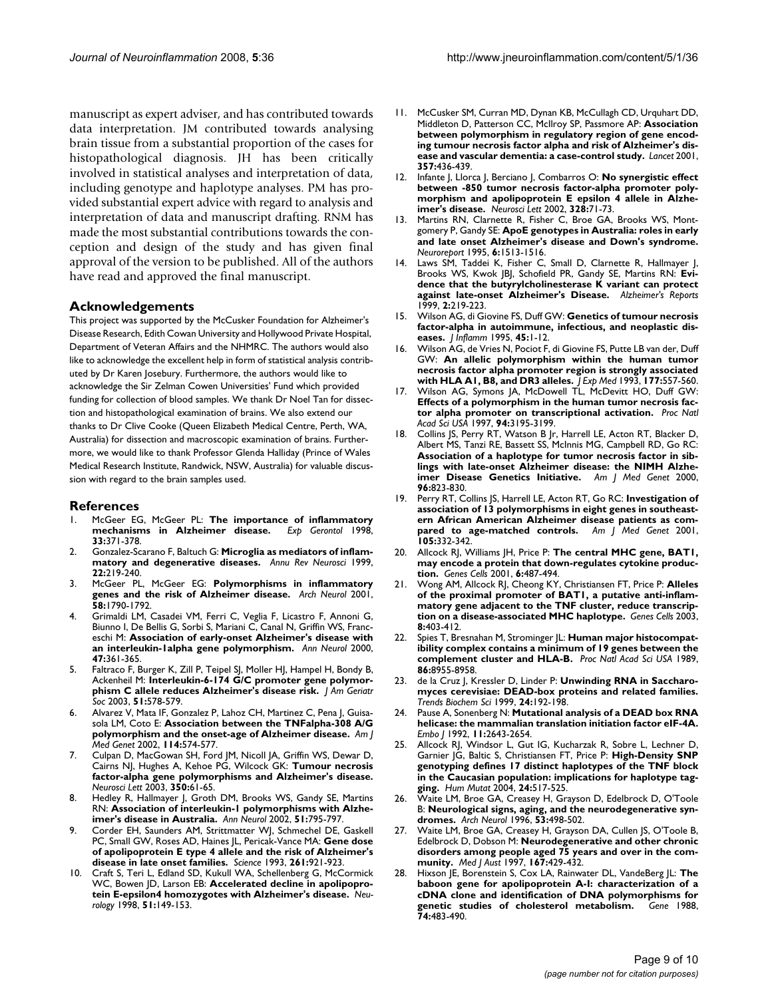manuscript as expert adviser, and has contributed towards data interpretation. JM contributed towards analysing brain tissue from a substantial proportion of the cases for histopathological diagnosis. JH has been critically involved in statistical analyses and interpretation of data, including genotype and haplotype analyses. PM has provided substantial expert advice with regard to analysis and interpretation of data and manuscript drafting. RNM has made the most substantial contributions towards the conception and design of the study and has given final approval of the version to be published. All of the authors have read and approved the final manuscript.

#### **Acknowledgements**

This project was supported by the McCusker Foundation for Alzheimer's Disease Research, Edith Cowan University and Hollywood Private Hospital, Department of Veteran Affairs and the NHMRC. The authors would also like to acknowledge the excellent help in form of statistical analysis contributed by Dr Karen Josebury. Furthermore, the authors would like to acknowledge the Sir Zelman Cowen Universities' Fund which provided funding for collection of blood samples. We thank Dr Noel Tan for dissection and histopathological examination of brains. We also extend our thanks to Dr Clive Cooke (Queen Elizabeth Medical Centre, Perth, WA, Australia) for dissection and macroscopic examination of brains. Furthermore, we would like to thank Professor Glenda Halliday (Prince of Wales Medical Research Institute, Randwick, NSW, Australia) for valuable discussion with regard to the brain samples used.

#### **References**

- 1. McGeer EG, McGeer PL: **[The importance of inflammatory](http://www.ncbi.nlm.nih.gov/entrez/query.fcgi?cmd=Retrieve&db=PubMed&dopt=Abstract&list_uids=9762518)**  $mechanisms$  in Alzheimer disease. **33:**371-378.
- 2. Gonzalez-Scarano F, Baltuch G: **[Microglia as mediators of inflam](http://www.ncbi.nlm.nih.gov/entrez/query.fcgi?cmd=Retrieve&db=PubMed&dopt=Abstract&list_uids=10202538)[matory and degenerative diseases.](http://www.ncbi.nlm.nih.gov/entrez/query.fcgi?cmd=Retrieve&db=PubMed&dopt=Abstract&list_uids=10202538)** *Annu Rev Neurosci* 1999, **22:**219-240.
- 3. McGeer PL, McGeer EG: **[Polymorphisms in inflammatory](http://www.ncbi.nlm.nih.gov/entrez/query.fcgi?cmd=Retrieve&db=PubMed&dopt=Abstract&list_uids=11708985) [genes and the risk of Alzheimer disease.](http://www.ncbi.nlm.nih.gov/entrez/query.fcgi?cmd=Retrieve&db=PubMed&dopt=Abstract&list_uids=11708985)** *Arch Neurol* 2001, **58:**1790-1792.
- 4. Grimaldi LM, Casadei VM, Ferri C, Veglia F, Licastro F, Annoni G, Biunno I, De Bellis G, Sorbi S, Mariani C, Canal N, Griffin WS, Franceschi M: **[Association of early-onset Alzheimer's disease with](http://www.ncbi.nlm.nih.gov/entrez/query.fcgi?cmd=Retrieve&db=PubMed&dopt=Abstract&list_uids=10716256) [an interleukin-1alpha gene polymorphism.](http://www.ncbi.nlm.nih.gov/entrez/query.fcgi?cmd=Retrieve&db=PubMed&dopt=Abstract&list_uids=10716256)** *Ann Neurol* 2000, **47:**361-365.
- Faltraco F, Burger K, Zill P, Teipel SJ, Moller HJ, Hampel H, Bondy B, Ackenheil M: **[Interleukin-6-174 G/C promoter gene polymor](http://www.ncbi.nlm.nih.gov/entrez/query.fcgi?cmd=Retrieve&db=PubMed&dopt=Abstract&list_uids=12657090)[phism C allele reduces Alzheimer's disease risk.](http://www.ncbi.nlm.nih.gov/entrez/query.fcgi?cmd=Retrieve&db=PubMed&dopt=Abstract&list_uids=12657090)** *J Am Geriatr Soc* 2003, **51:**578-579.
- 6. Alvarez V, Mata IF, Gonzalez P, Lahoz CH, Martinez C, Pena J, Guisasola LM, Coto E: **[Association between the TNFalpha-308 A/G](http://www.ncbi.nlm.nih.gov/entrez/query.fcgi?cmd=Retrieve&db=PubMed&dopt=Abstract&list_uids=12116197) [polymorphism and the onset-age of Alzheimer disease.](http://www.ncbi.nlm.nih.gov/entrez/query.fcgi?cmd=Retrieve&db=PubMed&dopt=Abstract&list_uids=12116197)** *Am J Med Genet* 2002, **114:**574-577.
- 7. Culpan D, MacGowan SH, Ford JM, Nicoll JA, Griffin WS, Dewar D, Cairns NJ, Hughes A, Kehoe PG, Wilcock GK: **[Tumour necrosis](http://www.ncbi.nlm.nih.gov/entrez/query.fcgi?cmd=Retrieve&db=PubMed&dopt=Abstract&list_uids=12962917) [factor-alpha gene polymorphisms and Alzheimer's disease.](http://www.ncbi.nlm.nih.gov/entrez/query.fcgi?cmd=Retrieve&db=PubMed&dopt=Abstract&list_uids=12962917)** *Neurosci Lett* 2003, **350:**61-65.
- 8. Hedley R, Hallmayer J, Groth DM, Brooks WS, Gandy SE, Martins RN: **[Association of interleukin-1 polymorphisms with Alzhe](http://www.ncbi.nlm.nih.gov/entrez/query.fcgi?cmd=Retrieve&db=PubMed&dopt=Abstract&list_uids=12112093)[imer's disease in Australia.](http://www.ncbi.nlm.nih.gov/entrez/query.fcgi?cmd=Retrieve&db=PubMed&dopt=Abstract&list_uids=12112093)** *Ann Neurol* 2002, **51:**795-797.
- 9. Corder EH, Saunders AM, Strittmatter WJ, Schmechel DE, Gaskell PC, Small GW, Roses AD, Haines JL, Pericak-Vance MA: **[Gene dose](http://www.ncbi.nlm.nih.gov/entrez/query.fcgi?cmd=Retrieve&db=PubMed&dopt=Abstract&list_uids=8346443) [of apolipoprotein E type 4 allele and the risk of Alzheimer's](http://www.ncbi.nlm.nih.gov/entrez/query.fcgi?cmd=Retrieve&db=PubMed&dopt=Abstract&list_uids=8346443) [disease in late onset families.](http://www.ncbi.nlm.nih.gov/entrez/query.fcgi?cmd=Retrieve&db=PubMed&dopt=Abstract&list_uids=8346443)** *Science* 1993, **261:**921-923.
- 10. Craft S, Teri L, Edland SD, Kukull WA, Schellenberg G, McCormick WC, Bowen JD, Larson EB: **[Accelerated decline in apolipopro](http://www.ncbi.nlm.nih.gov/entrez/query.fcgi?cmd=Retrieve&db=PubMed&dopt=Abstract&list_uids=9674794)[tein E-epsilon4 homozygotes with Alzheimer's disease.](http://www.ncbi.nlm.nih.gov/entrez/query.fcgi?cmd=Retrieve&db=PubMed&dopt=Abstract&list_uids=9674794)** *Neurology* 1998, **51:**149-153.
- 11. McCusker SM, Curran MD, Dynan KB, McCullagh CD, Urquhart DD, Middleton D, Patterson CC, McIlroy SP, Passmore AP: **[Association](http://www.ncbi.nlm.nih.gov/entrez/query.fcgi?cmd=Retrieve&db=PubMed&dopt=Abstract&list_uids=11273064) [between polymorphism in regulatory region of gene encod](http://www.ncbi.nlm.nih.gov/entrez/query.fcgi?cmd=Retrieve&db=PubMed&dopt=Abstract&list_uids=11273064)ing tumour necrosis factor alpha and risk of Alzheimer's dis[ease and vascular dementia: a case-control study.](http://www.ncbi.nlm.nih.gov/entrez/query.fcgi?cmd=Retrieve&db=PubMed&dopt=Abstract&list_uids=11273064)** *Lancet* 2001, **357:**436-439.
- 12. Infante J, Llorca J, Berciano J, Combarros O: **[No synergistic effect](http://www.ncbi.nlm.nih.gov/entrez/query.fcgi?cmd=Retrieve&db=PubMed&dopt=Abstract&list_uids=12123862) [between -850 tumor necrosis factor-alpha promoter poly](http://www.ncbi.nlm.nih.gov/entrez/query.fcgi?cmd=Retrieve&db=PubMed&dopt=Abstract&list_uids=12123862)morphism and apolipoprotein E epsilon 4 allele in Alzhe[imer's disease.](http://www.ncbi.nlm.nih.gov/entrez/query.fcgi?cmd=Retrieve&db=PubMed&dopt=Abstract&list_uids=12123862)** *Neurosci Lett* 2002, **328:**71-73.
- 13. Martins RN, Clarnette R, Fisher C, Broe GA, Brooks WS, Montgomery P, Gandy SE: **[ApoE genotypes in Australia: roles in early](http://www.ncbi.nlm.nih.gov/entrez/query.fcgi?cmd=Retrieve&db=PubMed&dopt=Abstract&list_uids=7579137) [and late onset Alzheimer's disease and Down's syndrome.](http://www.ncbi.nlm.nih.gov/entrez/query.fcgi?cmd=Retrieve&db=PubMed&dopt=Abstract&list_uids=7579137)** *Neuroreport* 1995, **6:**1513-1516.
- 14. Laws SM, Taddei K, Fisher C, Small D, Clarnette R, Hallmayer J, Brooks WS, Kwok JBJ, Schofield PR, Gandy SE, Martins RN: **Evidence that the butyrylcholinesterase K variant can protect against late-onset Alzheimer's Disease.** *Alzheimer's Reports* 1999, **2:**219-223.
- 15. Wilson AG, di Giovine FS, Duff GW: **[Genetics of tumour necrosis](http://www.ncbi.nlm.nih.gov/entrez/query.fcgi?cmd=Retrieve&db=PubMed&dopt=Abstract&list_uids=7583349) [factor-alpha in autoimmune, infectious, and neoplastic dis](http://www.ncbi.nlm.nih.gov/entrez/query.fcgi?cmd=Retrieve&db=PubMed&dopt=Abstract&list_uids=7583349)[eases.](http://www.ncbi.nlm.nih.gov/entrez/query.fcgi?cmd=Retrieve&db=PubMed&dopt=Abstract&list_uids=7583349)** *J Inflamm* 1995, **45:**1-12.
- 16. Wilson AG, de Vries N, Pociot F, di Giovine FS, Putte LB van der, Duff GW: **[An allelic polymorphism within the human tumor](http://www.ncbi.nlm.nih.gov/entrez/query.fcgi?cmd=Retrieve&db=PubMed&dopt=Abstract&list_uids=8426126) [necrosis factor alpha promoter region is strongly associated](http://www.ncbi.nlm.nih.gov/entrez/query.fcgi?cmd=Retrieve&db=PubMed&dopt=Abstract&list_uids=8426126) [with HLA A1, B8, and DR3 alleles.](http://www.ncbi.nlm.nih.gov/entrez/query.fcgi?cmd=Retrieve&db=PubMed&dopt=Abstract&list_uids=8426126)** *J Exp Med* 1993, **177:**557-560.
- 17. Wilson AG, Symons JA, McDowell TL, McDevitt HO, Duff GW: **[Effects of a polymorphism in the human tumor necrosis fac](http://www.ncbi.nlm.nih.gov/entrez/query.fcgi?cmd=Retrieve&db=PubMed&dopt=Abstract&list_uids=9096369)[tor alpha promoter on transcriptional activation.](http://www.ncbi.nlm.nih.gov/entrez/query.fcgi?cmd=Retrieve&db=PubMed&dopt=Abstract&list_uids=9096369)** *Proc Natl Acad Sci USA* 1997, **94:**3195-3199.
- 18. Collins JS, Perry RT, Watson B Jr, Harrell LE, Acton RT, Blacker D, Albert MS, Tanzi RE, Bassett SS, McInnis MG, Campbell RD, Go RC: **Association of a haplotype for tumor necrosis factor in sib[lings with late-onset Alzheimer disease: the NIMH Alzhe](http://www.ncbi.nlm.nih.gov/entrez/query.fcgi?cmd=Retrieve&db=PubMed&dopt=Abstract&list_uids=11121190)[imer Disease Genetics Initiative.](http://www.ncbi.nlm.nih.gov/entrez/query.fcgi?cmd=Retrieve&db=PubMed&dopt=Abstract&list_uids=11121190)** *Am J Med Genet* 2000, **96:**823-830.
- 19. Perry RT, Collins JS, Harrell LE, Acton RT, Go RC: **[Investigation of](http://www.ncbi.nlm.nih.gov/entrez/query.fcgi?cmd=Retrieve&db=PubMed&dopt=Abstract&list_uids=11378846) [association of 13 polymorphisms in eight genes in southeast](http://www.ncbi.nlm.nih.gov/entrez/query.fcgi?cmd=Retrieve&db=PubMed&dopt=Abstract&list_uids=11378846)ern African American Alzheimer disease patients as com[pared to age-matched controls.](http://www.ncbi.nlm.nih.gov/entrez/query.fcgi?cmd=Retrieve&db=PubMed&dopt=Abstract&list_uids=11378846)** *Am J Med Genet* 2001, **105:**332-342.
- 20. Allcock RJ, Williams JH, Price P: **[The central MHC gene, BAT1,](http://www.ncbi.nlm.nih.gov/entrez/query.fcgi?cmd=Retrieve&db=PubMed&dopt=Abstract&list_uids=11380625) [may encode a protein that down-regulates cytokine produc](http://www.ncbi.nlm.nih.gov/entrez/query.fcgi?cmd=Retrieve&db=PubMed&dopt=Abstract&list_uids=11380625)[tion.](http://www.ncbi.nlm.nih.gov/entrez/query.fcgi?cmd=Retrieve&db=PubMed&dopt=Abstract&list_uids=11380625)** *Genes Cells* 2001, **6:**487-494.
- 21. Wong AM, Allcock RJ, Cheong KY, Christiansen FT, Price P: **[Alleles](http://www.ncbi.nlm.nih.gov/entrez/query.fcgi?cmd=Retrieve&db=PubMed&dopt=Abstract&list_uids=12653967) [of the proximal promoter of BAT1, a putative anti-inflam](http://www.ncbi.nlm.nih.gov/entrez/query.fcgi?cmd=Retrieve&db=PubMed&dopt=Abstract&list_uids=12653967)matory gene adjacent to the TNF cluster, reduce transcrip[tion on a disease-associated MHC haplotype.](http://www.ncbi.nlm.nih.gov/entrez/query.fcgi?cmd=Retrieve&db=PubMed&dopt=Abstract&list_uids=12653967)** *Genes Cells* 2003, **8:**403-412.
- 22. Spies T, Bresnahan M, Strominger JL: **[Human major histocompat](http://www.ncbi.nlm.nih.gov/entrez/query.fcgi?cmd=Retrieve&db=PubMed&dopt=Abstract&list_uids=2813433)[ibility complex contains a minimum of 19 genes between the](http://www.ncbi.nlm.nih.gov/entrez/query.fcgi?cmd=Retrieve&db=PubMed&dopt=Abstract&list_uids=2813433) [complement cluster and HLA-B.](http://www.ncbi.nlm.nih.gov/entrez/query.fcgi?cmd=Retrieve&db=PubMed&dopt=Abstract&list_uids=2813433)** *Proc Natl Acad Sci USA* 1989, **86:**8955-8958.
- 23. de la Cruz J, Kressler D, Linder P: **[Unwinding RNA in Saccharo](http://www.ncbi.nlm.nih.gov/entrez/query.fcgi?cmd=Retrieve&db=PubMed&dopt=Abstract&list_uids=10322435)[myces cerevisiae: DEAD-box proteins and related families.](http://www.ncbi.nlm.nih.gov/entrez/query.fcgi?cmd=Retrieve&db=PubMed&dopt=Abstract&list_uids=10322435)** *Trends Biochem Sci* 1999, **24:**192-198.
- 24. Pause A, Sonenberg N: **[Mutational analysis of a DEAD box RNA](http://www.ncbi.nlm.nih.gov/entrez/query.fcgi?cmd=Retrieve&db=PubMed&dopt=Abstract&list_uids=1378397) [helicase: the mammalian translation initiation factor eIF-4A.](http://www.ncbi.nlm.nih.gov/entrez/query.fcgi?cmd=Retrieve&db=PubMed&dopt=Abstract&list_uids=1378397)** *Embo J* 1992, **11:**2643-2654.
- 25. Allcock RJ, Windsor L, Gut IG, Kucharzak R, Sobre L, Lechner D, Garnier JG, Baltic S, Christiansen FT, Price P: **[High-Density SNP](http://www.ncbi.nlm.nih.gov/entrez/query.fcgi?cmd=Retrieve&db=PubMed&dopt=Abstract&list_uids=15523649) [genotyping defines 17 distinct haplotypes of the TNF block](http://www.ncbi.nlm.nih.gov/entrez/query.fcgi?cmd=Retrieve&db=PubMed&dopt=Abstract&list_uids=15523649) in the Caucasian population: implications for haplotype tag[ging.](http://www.ncbi.nlm.nih.gov/entrez/query.fcgi?cmd=Retrieve&db=PubMed&dopt=Abstract&list_uids=15523649)** *Hum Mutat* 2004, **24:**517-525.
- 26. Waite LM, Broe GA, Creasey H, Grayson D, Edelbrock D, O'Toole B: **[Neurological signs, aging, and the neurodegenerative syn](http://www.ncbi.nlm.nih.gov/entrez/query.fcgi?cmd=Retrieve&db=PubMed&dopt=Abstract&list_uids=8660150)[dromes.](http://www.ncbi.nlm.nih.gov/entrez/query.fcgi?cmd=Retrieve&db=PubMed&dopt=Abstract&list_uids=8660150)** *Arch Neurol* 1996, **53:**498-502.
- 27. Waite LM, Broe GA, Creasey H, Grayson DA, Cullen JS, O'Toole B, Edelbrock D, Dobson M: **[Neurodegenerative and other chronic](http://www.ncbi.nlm.nih.gov/entrez/query.fcgi?cmd=Retrieve&db=PubMed&dopt=Abstract&list_uids=9364162) [disorders among people aged 75 years and over in the com](http://www.ncbi.nlm.nih.gov/entrez/query.fcgi?cmd=Retrieve&db=PubMed&dopt=Abstract&list_uids=9364162)[munity.](http://www.ncbi.nlm.nih.gov/entrez/query.fcgi?cmd=Retrieve&db=PubMed&dopt=Abstract&list_uids=9364162)** *Med J Aust* 1997, **167:**429-432.
- 28. Hixson JE, Borenstein S, Cox LA, Rainwater DL, VandeBerg JL: **[The](http://www.ncbi.nlm.nih.gov/entrez/query.fcgi?cmd=Retrieve&db=PubMed&dopt=Abstract&list_uids=2907746) [baboon gene for apolipoprotein A-I: characterization of a](http://www.ncbi.nlm.nih.gov/entrez/query.fcgi?cmd=Retrieve&db=PubMed&dopt=Abstract&list_uids=2907746) cDNA clone and identification of DNA polymorphisms for [genetic studies of cholesterol metabolism.](http://www.ncbi.nlm.nih.gov/entrez/query.fcgi?cmd=Retrieve&db=PubMed&dopt=Abstract&list_uids=2907746)** *Gene* 1988, **74:**483-490.